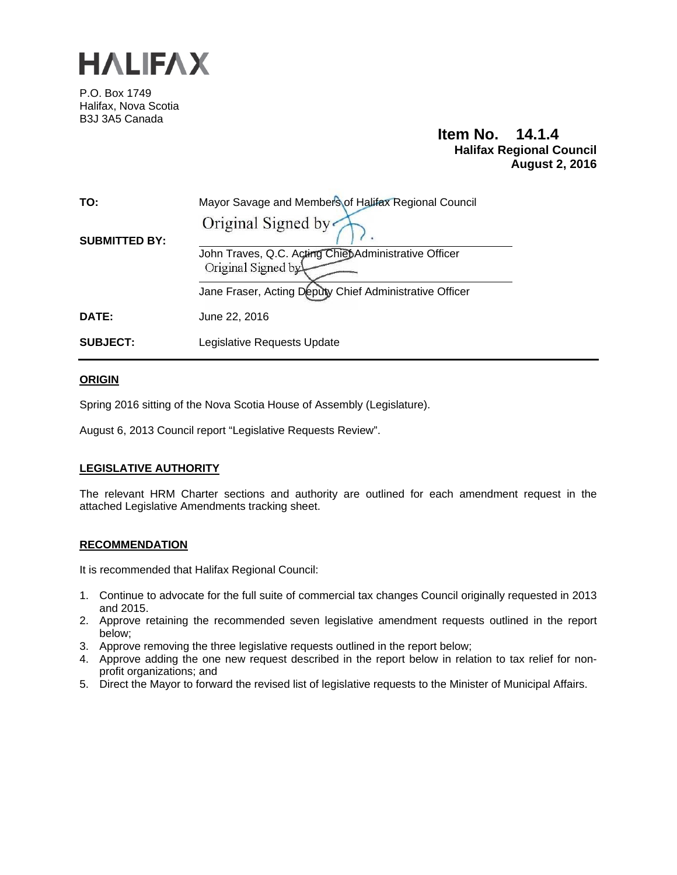

P.O. Box 1749 Halifax, Nova Scotia B3J 3A5 Canada

# **Item No. 14.1.4 Halifax Regional Council August 2, 2016**

| TO:                  | Mayor Savage and Members of Halifax Regional Council<br>Original Signed by  |
|----------------------|-----------------------------------------------------------------------------|
| <b>SUBMITTED BY:</b> | John Traves, Q.C. Acting Chiet Administrative Officer<br>Original Signed by |
|                      | Jane Fraser, Acting Deputy Chief Administrative Officer                     |
| <b>DATE:</b>         | June 22, 2016                                                               |
| <b>SUBJECT:</b>      | Legislative Requests Update                                                 |

## **ORIGIN**

Spring 2016 sitting of the Nova Scotia House of Assembly (Legislature).

August 6, 2013 Council report "Legislative Requests Review".

## **LEGISLATIVE AUTHORITY**

The relevant HRM Charter sections and authority are outlined for each amendment request in the attached Legislative Amendments tracking sheet.

#### **RECOMMENDATION**

It is recommended that Halifax Regional Council:

- 1. Continue to advocate for the full suite of commercial tax changes Council originally requested in 2013 and 2015.
- 2. Approve retaining the recommended seven legislative amendment requests outlined in the report below;
- 3. Approve removing the three legislative requests outlined in the report below;
- 4. Approve adding the one new request described in the report below in relation to tax relief for nonprofit organizations; and
- 5. Direct the Mayor to forward the revised list of legislative requests to the Minister of Municipal Affairs.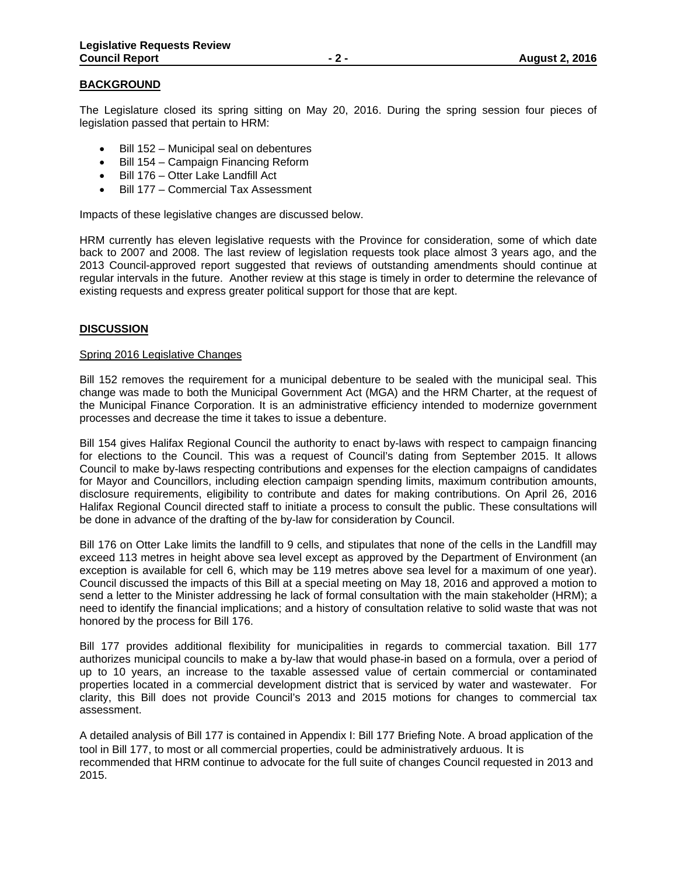#### **BACKGROUND**

The Legislature closed its spring sitting on May 20, 2016. During the spring session four pieces of legislation passed that pertain to HRM:

- $\bullet$  Bill 152 Municipal seal on debentures
- Bill 154 Campaign Financing Reform
- Bill 176 Otter Lake Landfill Act
- Bill 177 Commercial Tax Assessment

Impacts of these legislative changes are discussed below.

HRM currently has eleven legislative requests with the Province for consideration, some of which date back to 2007 and 2008. The last review of legislation requests took place almost 3 years ago, and the 2013 Council-approved report suggested that reviews of outstanding amendments should continue at regular intervals in the future. Another review at this stage is timely in order to determine the relevance of existing requests and express greater political support for those that are kept.

#### **DISCUSSION**

#### Spring 2016 Legislative Changes

Bill 152 removes the requirement for a municipal debenture to be sealed with the municipal seal. This change was made to both the Municipal Government Act (MGA) and the HRM Charter, at the request of the Municipal Finance Corporation. It is an administrative efficiency intended to modernize government processes and decrease the time it takes to issue a debenture.

Bill 154 gives Halifax Regional Council the authority to enact by-laws with respect to campaign financing for elections to the Council. This was a request of Council's dating from September 2015. It allows Council to make by-laws respecting contributions and expenses for the election campaigns of candidates for Mayor and Councillors, including election campaign spending limits, maximum contribution amounts, disclosure requirements, eligibility to contribute and dates for making contributions. On April 26, 2016 Halifax Regional Council directed staff to initiate a process to consult the public. These consultations will be done in advance of the drafting of the by-law for consideration by Council.

Bill 176 on Otter Lake limits the landfill to 9 cells, and stipulates that none of the cells in the Landfill may exceed 113 metres in height above sea level except as approved by the Department of Environment (an exception is available for cell 6, which may be 119 metres above sea level for a maximum of one year). Council discussed the impacts of this Bill at a special meeting on May 18, 2016 and approved a motion to send a letter to the Minister addressing he lack of formal consultation with the main stakeholder (HRM); a need to identify the financial implications; and a history of consultation relative to solid waste that was not honored by the process for Bill 176.

Bill 177 provides additional flexibility for municipalities in regards to commercial taxation. Bill 177 authorizes municipal councils to make a by-law that would phase-in based on a formula, over a period of up to 10 years, an increase to the taxable assessed value of certain commercial or contaminated properties located in a commercial development district that is serviced by water and wastewater. For clarity, this Bill does not provide Council's 2013 and 2015 motions for changes to commercial tax assessment.

A detailed analysis of Bill 177 is contained in Appendix I: Bill 177 Briefing Note. A broad application of the tool in Bill 177, to most or all commercial properties, could be administratively arduous. It is recommended that HRM continue to advocate for the full suite of changes Council requested in 2013 and 2015.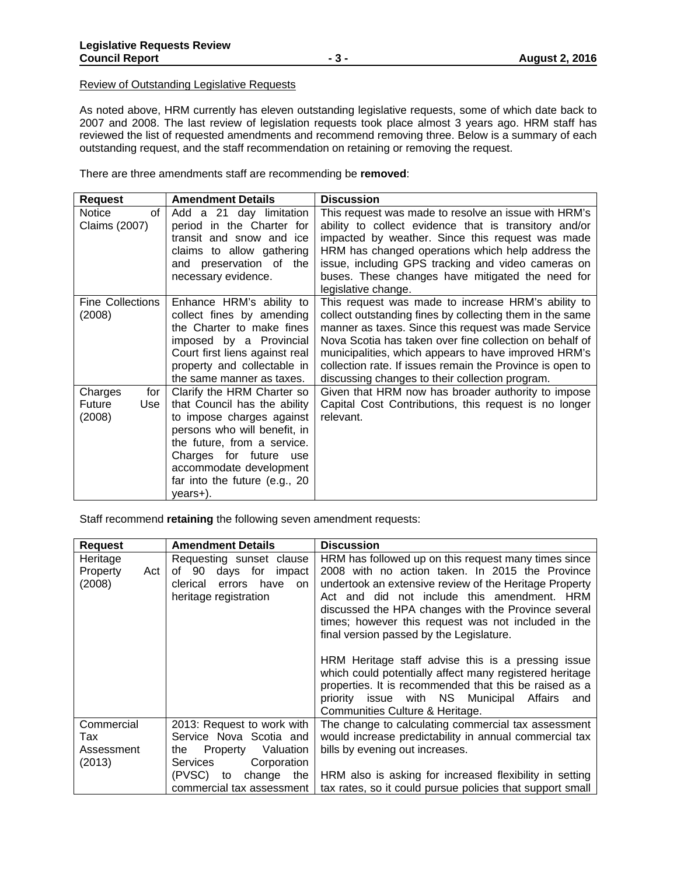#### Review of Outstanding Legislative Requests

As noted above, HRM currently has eleven outstanding legislative requests, some of which date back to 2007 and 2008. The last review of legislation requests took place almost 3 years ago. HRM staff has reviewed the list of requested amendments and recommend removing three. Below is a summary of each outstanding request, and the staff recommendation on retaining or removing the request.

There are three amendments staff are recommending be **removed**:

| <b>Request</b>                            | <b>Amendment Details</b>                                                                                                                                                                                                                                 | <b>Discussion</b>                                                                                                                                                                                                                                                                                                                                                                                         |
|-------------------------------------------|----------------------------------------------------------------------------------------------------------------------------------------------------------------------------------------------------------------------------------------------------------|-----------------------------------------------------------------------------------------------------------------------------------------------------------------------------------------------------------------------------------------------------------------------------------------------------------------------------------------------------------------------------------------------------------|
| Notice<br>of<br>Claims (2007)             | Add a 21 day limitation<br>period in the Charter for<br>transit and snow and ice<br>claims to allow gathering<br>and preservation of the<br>necessary evidence.                                                                                          | This request was made to resolve an issue with HRM's<br>ability to collect evidence that is transitory and/or<br>impacted by weather. Since this request was made<br>HRM has changed operations which help address the<br>issue, including GPS tracking and video cameras on<br>buses. These changes have mitigated the need for<br>legislative change.                                                   |
| Fine Collections<br>(2008)                | Enhance HRM's ability to<br>collect fines by amending<br>the Charter to make fines<br>imposed by a Provincial<br>Court first liens against real<br>property and collectable in<br>the same manner as taxes.                                              | This request was made to increase HRM's ability to<br>collect outstanding fines by collecting them in the same<br>manner as taxes. Since this request was made Service<br>Nova Scotia has taken over fine collection on behalf of<br>municipalities, which appears to have improved HRM's<br>collection rate. If issues remain the Province is open to<br>discussing changes to their collection program. |
| Charges<br>for<br>Future<br>Use<br>(2008) | Clarify the HRM Charter so<br>that Council has the ability<br>to impose charges against<br>persons who will benefit, in<br>the future, from a service.<br>Charges for future use<br>accommodate development<br>far into the future (e.g., 20<br>years+). | Given that HRM now has broader authority to impose<br>Capital Cost Contributions, this request is no longer<br>relevant.                                                                                                                                                                                                                                                                                  |

Staff recommend **retaining** the following seven amendment requests:

| <b>Request</b>  | <b>Amendment Details</b>      | <b>Discussion</b>                                         |
|-----------------|-------------------------------|-----------------------------------------------------------|
| Heritage        | Requesting sunset clause      | HRM has followed up on this request many times since      |
| Property<br>Act | of 90<br>days for impact      | 2008 with no action taken. In 2015 the Province           |
| (2008)          | errors have<br>clerical<br>on | undertook an extensive review of the Heritage Property    |
|                 | heritage registration         | Act and did not include this amendment. HRM               |
|                 |                               | discussed the HPA changes with the Province several       |
|                 |                               | times; however this request was not included in the       |
|                 |                               | final version passed by the Legislature.                  |
|                 |                               |                                                           |
|                 |                               | HRM Heritage staff advise this is a pressing issue        |
|                 |                               | which could potentially affect many registered heritage   |
|                 |                               | properties. It is recommended that this be raised as a    |
|                 |                               | priority issue with NS Municipal Affairs<br>and           |
|                 |                               | Communities Culture & Heritage.                           |
| Commercial      | 2013: Request to work with    | The change to calculating commercial tax assessment       |
| Tax             | Service Nova Scotia and       | would increase predictability in annual commercial tax    |
| Assessment      | Property Valuation<br>the     | bills by evening out increases.                           |
| (2013)          | Corporation<br>Services       |                                                           |
|                 | (PVSC) to<br>change the       | HRM also is asking for increased flexibility in setting   |
|                 | commercial tax assessment     | tax rates, so it could pursue policies that support small |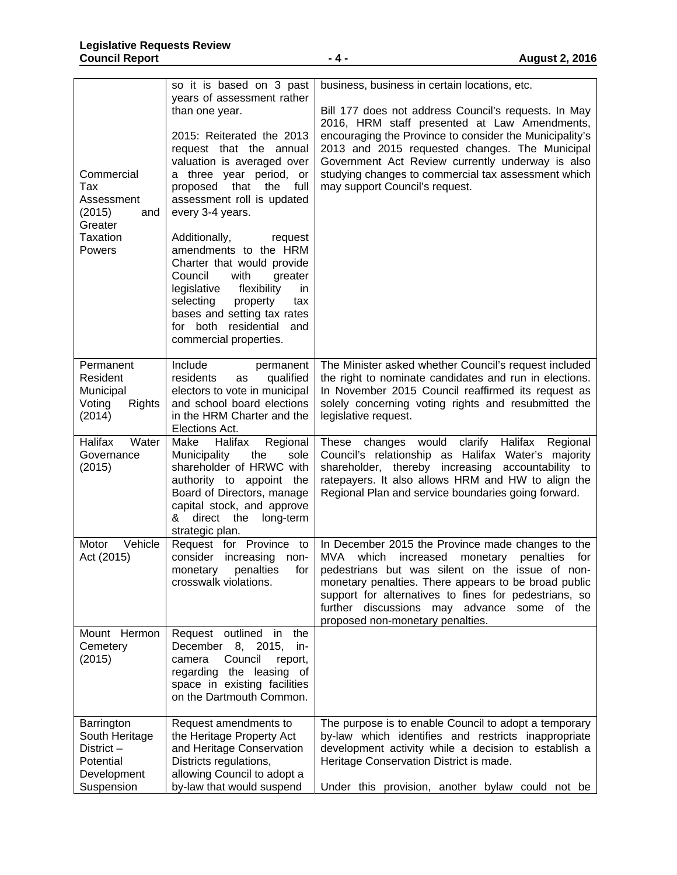| Commercial<br>Tax<br>Assessment<br>(2015)<br>and<br>Greater<br>Taxation<br><b>Powers</b> | so it is based on 3 past<br>years of assessment rather<br>than one year.<br>2015: Reiterated the 2013<br>request that the annual<br>valuation is averaged over<br>a three year period, or<br>that the<br>proposed<br>full<br>assessment roll is updated<br>every 3-4 years.<br>Additionally,<br>request<br>amendments to the HRM<br>Charter that would provide<br>Council<br>with<br>greater<br>legislative<br>flexibility<br>in.<br>selecting<br>property<br>tax<br>bases and setting tax rates<br>for both residential and<br>commercial properties. | business, business in certain locations, etc.<br>Bill 177 does not address Council's requests. In May<br>2016, HRM staff presented at Law Amendments,<br>encouraging the Province to consider the Municipality's<br>2013 and 2015 requested changes. The Municipal<br>Government Act Review currently underway is also<br>studying changes to commercial tax assessment which<br>may support Council's request. |
|------------------------------------------------------------------------------------------|--------------------------------------------------------------------------------------------------------------------------------------------------------------------------------------------------------------------------------------------------------------------------------------------------------------------------------------------------------------------------------------------------------------------------------------------------------------------------------------------------------------------------------------------------------|-----------------------------------------------------------------------------------------------------------------------------------------------------------------------------------------------------------------------------------------------------------------------------------------------------------------------------------------------------------------------------------------------------------------|
| Permanent<br>Resident<br>Municipal<br>Voting<br><b>Rights</b><br>(2014)                  | Include<br>permanent<br>residents<br>qualified<br>as<br>electors to vote in municipal<br>and school board elections<br>in the HRM Charter and the<br>Elections Act.                                                                                                                                                                                                                                                                                                                                                                                    | The Minister asked whether Council's request included<br>the right to nominate candidates and run in elections.<br>In November 2015 Council reaffirmed its request as<br>solely concerning voting rights and resubmitted the<br>legislative request.                                                                                                                                                            |
| Halifax<br>Water<br>Governance<br>(2015)                                                 | Make<br>Halifax<br>Regional<br>Municipality<br>sole<br>the<br>shareholder of HRWC with<br>authority to appoint the<br>Board of Directors, manage<br>capital stock, and approve<br>& direct the long-term<br>strategic plan.                                                                                                                                                                                                                                                                                                                            | changes would<br>clarify Halifax<br>These<br>Regional<br>Council's relationship as Halifax Water's majority<br>shareholder, thereby increasing accountability to<br>ratepayers. It also allows HRM and HW to align the<br>Regional Plan and service boundaries going forward.                                                                                                                                   |
| Motor<br>Vehicle<br>Act (2015)                                                           | Request for Province to<br>consider<br>increasing<br>non-<br>crosswalk violations.                                                                                                                                                                                                                                                                                                                                                                                                                                                                     | In December 2015 the Province made changes to the<br>MVA<br>which<br>increased<br>monetary<br>penalties<br>for<br>monetary penalties for   pedestrians but was silent on the issue of non-<br>monetary penalties. There appears to be broad public<br>support for alternatives to fines for pedestrians, so<br>further discussions may advance some of the<br>proposed non-monetary penalties.                  |
| Mount Hermon<br>Cemetery<br>(2015)                                                       | Request outlined in<br>the<br>December 8, 2015,<br>in-<br>Council<br>camera<br>report,<br>regarding the leasing of<br>space in existing facilities<br>on the Dartmouth Common.                                                                                                                                                                                                                                                                                                                                                                         |                                                                                                                                                                                                                                                                                                                                                                                                                 |
| Barrington<br>South Heritage<br>District-<br>Potential<br>Development<br>Suspension      | Request amendments to<br>the Heritage Property Act<br>and Heritage Conservation<br>Districts regulations,<br>allowing Council to adopt a<br>by-law that would suspend                                                                                                                                                                                                                                                                                                                                                                                  | The purpose is to enable Council to adopt a temporary<br>by-law which identifies and restricts inappropriate<br>development activity while a decision to establish a<br>Heritage Conservation District is made.<br>Under this provision, another bylaw could not be                                                                                                                                             |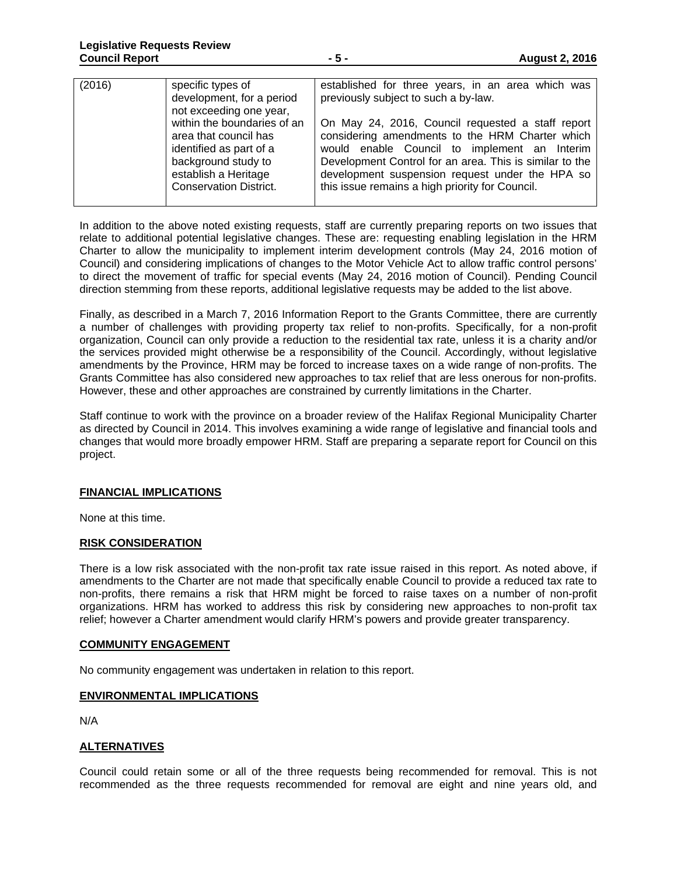| (2016) | specific types of<br>development, for a period<br>not exceeding one year,<br>within the boundaries of an<br>area that council has<br>identified as part of a<br>background study to<br>establish a Heritage | established for three years, in an area which was<br>previously subject to such a by-law.<br>On May 24, 2016, Council requested a staff report<br>considering amendments to the HRM Charter which<br>would enable Council to implement an Interim<br>Development Control for an area. This is similar to the |
|--------|-------------------------------------------------------------------------------------------------------------------------------------------------------------------------------------------------------------|--------------------------------------------------------------------------------------------------------------------------------------------------------------------------------------------------------------------------------------------------------------------------------------------------------------|
|        | <b>Conservation District.</b>                                                                                                                                                                               | development suspension request under the HPA so<br>this issue remains a high priority for Council.                                                                                                                                                                                                           |

In addition to the above noted existing requests, staff are currently preparing reports on two issues that relate to additional potential legislative changes. These are: requesting enabling legislation in the HRM Charter to allow the municipality to implement interim development controls (May 24, 2016 motion of Council) and considering implications of changes to the Motor Vehicle Act to allow traffic control persons' to direct the movement of traffic for special events (May 24, 2016 motion of Council). Pending Council direction stemming from these reports, additional legislative requests may be added to the list above.

Finally, as described in a March 7, 2016 Information Report to the Grants Committee, there are currently a number of challenges with providing property tax relief to non-profits. Specifically, for a non-profit organization, Council can only provide a reduction to the residential tax rate, unless it is a charity and/or the services provided might otherwise be a responsibility of the Council. Accordingly, without legislative amendments by the Province, HRM may be forced to increase taxes on a wide range of non-profits. The Grants Committee has also considered new approaches to tax relief that are less onerous for non-profits. However, these and other approaches are constrained by currently limitations in the Charter.

Staff continue to work with the province on a broader review of the Halifax Regional Municipality Charter as directed by Council in 2014. This involves examining a wide range of legislative and financial tools and changes that would more broadly empower HRM. Staff are preparing a separate report for Council on this project.

## **FINANCIAL IMPLICATIONS**

None at this time.

## **RISK CONSIDERATION**

There is a low risk associated with the non-profit tax rate issue raised in this report. As noted above, if amendments to the Charter are not made that specifically enable Council to provide a reduced tax rate to non-profits, there remains a risk that HRM might be forced to raise taxes on a number of non-profit organizations. HRM has worked to address this risk by considering new approaches to non-profit tax relief; however a Charter amendment would clarify HRM's powers and provide greater transparency.

#### **COMMUNITY ENGAGEMENT**

No community engagement was undertaken in relation to this report.

## **ENVIRONMENTAL IMPLICATIONS**

N/A

## **ALTERNATIVES**

Council could retain some or all of the three requests being recommended for removal. This is not recommended as the three requests recommended for removal are eight and nine years old, and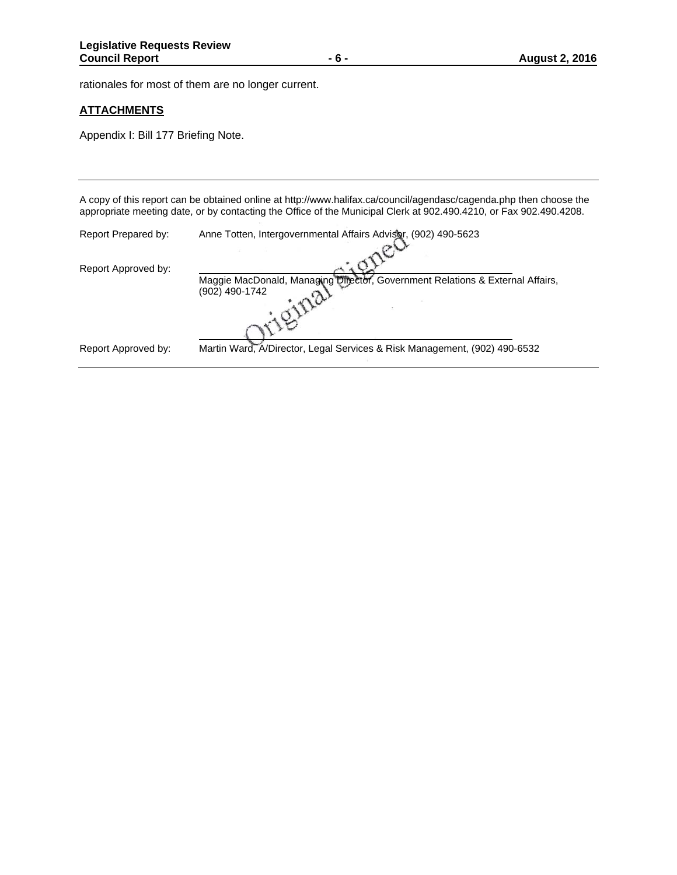rationales for most of them are no longer current.

#### **ATTACHMENTS**

Appendix I: Bill 177 Briefing Note.

A copy of this report can be obtained online at http://www.halifax.ca/council/agendasc/cagenda.php then choose the appropriate meeting date, or by contacting the Office of the Municipal Clerk at 902.490.4210, or Fax 902.490.4208. Report Prepared by: Anne Totten, Intergovernmental Affairs Advisor, (902) 490-5623 Report Approved by: Maggie MacDonald, Managing Director, Government Relations & External Affairs,<br>(902) 490-1742<br>And Literature of Literature and Literature of Literature and Literature of Literature and Literature and Literature and Literatu (902) 490-1742 Report Approved by: Martin Ward, A/Director, Legal Services & Risk Management, (902) 490-6532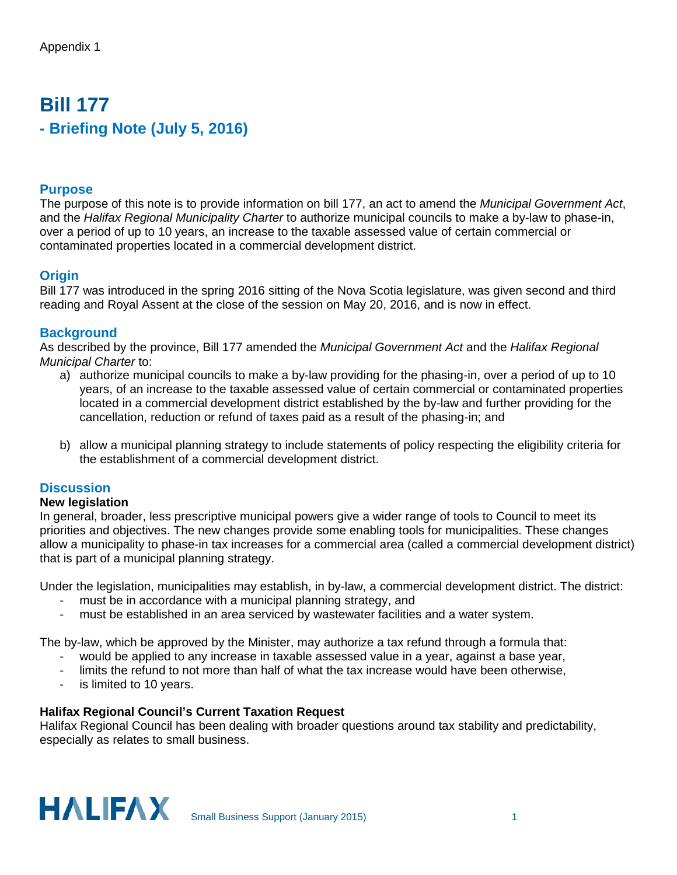# **Bill 177 - Briefing Note (July 5, 2016)**

# **Purpose**

The purpose of this note is to provide information on bill 177, an act to amend the *Municipal Government Act*, and the *Halifax Regional Municipality Charter* to authorize municipal councils to make a by-law to phase-in, over a period of up to 10 years, an increase to the taxable assessed value of certain commercial or contaminated properties located in a commercial development district.

# **Origin**

Bill 177 was introduced in the spring 2016 sitting of the Nova Scotia legislature, was given second and third reading and Royal Assent at the close of the session on May 20, 2016, and is now in effect.

# **Background**

As described by the province, Bill 177 amended the *Municipal Government Act* and the *Halifax Regional Municipal Charter* to:

- a) authorize municipal councils to make a by-law providing for the phasing-in, over a period of up to 10 years, of an increase to the taxable assessed value of certain commercial or contaminated properties located in a commercial development district established by the by-law and further providing for the cancellation, reduction or refund of taxes paid as a result of the phasing-in; and
- b) allow a municipal planning strategy to include statements of policy respecting the eligibility criteria for the establishment of a commercial development district.

# **Discussion**

# **New legislation**

In general, broader, less prescriptive municipal powers give a wider range of tools to Council to meet its priorities and objectives. The new changes provide some enabling tools for municipalities. These changes allow a municipality to phase-in tax increases for a commercial area (called a commercial development district) that is part of a municipal planning strategy.

Under the legislation, municipalities may establish, in by-law, a commercial development district. The district:

- must be in accordance with a municipal planning strategy, and
- must be established in an area serviced by wastewater facilities and a water system.

The by-law, which be approved by the Minister, may authorize a tax refund through a formula that:

- would be applied to any increase in taxable assessed value in a year, against a base year,
- limits the refund to not more than half of what the tax increase would have been otherwise.
- is limited to 10 years.

# **Halifax Regional Council's Current Taxation Request**

Halifax Regional Council has been dealing with broader questions around tax stability and predictability, especially as relates to small business.

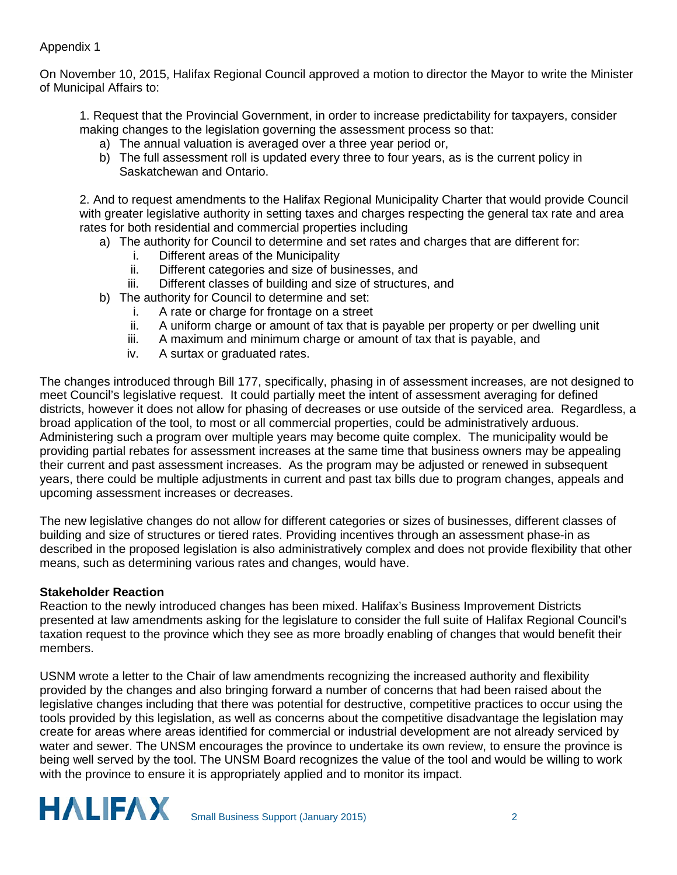# Appendix 1

On November 10, 2015, Halifax Regional Council approved a motion to director the Mayor to write the Minister of Municipal Affairs to:

1. Request that the Provincial Government, in order to increase predictability for taxpayers, consider making changes to the legislation governing the assessment process so that:

- a) The annual valuation is averaged over a three year period or,
- b) The full assessment roll is updated every three to four years, as is the current policy in Saskatchewan and Ontario.

2. And to request amendments to the Halifax Regional Municipality Charter that would provide Council with greater legislative authority in setting taxes and charges respecting the general tax rate and area rates for both residential and commercial properties including

- a) The authority for Council to determine and set rates and charges that are different for:
	- i. Different areas of the Municipality
	- ii. Different categories and size of businesses, and
	- iii. Different classes of building and size of structures, and
- b) The authority for Council to determine and set:
	- i. A rate or charge for frontage on a street
	- ii. A uniform charge or amount of tax that is payable per property or per dwelling unit
	- iii. A maximum and minimum charge or amount of tax that is payable, and
	- iv. A surtax or graduated rates.

The changes introduced through Bill 177, specifically, phasing in of assessment increases, are not designed to meet Council's legislative request. It could partially meet the intent of assessment averaging for defined districts, however it does not allow for phasing of decreases or use outside of the serviced area. Regardless, a broad application of the tool, to most or all commercial properties, could be administratively arduous. Administering such a program over multiple years may become quite complex. The municipality would be providing partial rebates for assessment increases at the same time that business owners may be appealing their current and past assessment increases. As the program may be adjusted or renewed in subsequent years, there could be multiple adjustments in current and past tax bills due to program changes, appeals and upcoming assessment increases or decreases.

The new legislative changes do not allow for different categories or sizes of businesses, different classes of building and size of structures or tiered rates. Providing incentives through an assessment phase-in as described in the proposed legislation is also administratively complex and does not provide flexibility that other means, such as determining various rates and changes, would have.

# **Stakeholder Reaction**

Reaction to the newly introduced changes has been mixed. Halifax's Business Improvement Districts presented at law amendments asking for the legislature to consider the full suite of Halifax Regional Council's taxation request to the province which they see as more broadly enabling of changes that would benefit their members.

USNM wrote a letter to the Chair of law amendments recognizing the increased authority and flexibility provided by the changes and also bringing forward a number of concerns that had been raised about the legislative changes including that there was potential for destructive, competitive practices to occur using the tools provided by this legislation, as well as concerns about the competitive disadvantage the legislation may create for areas where areas identified for commercial or industrial development are not already serviced by water and sewer. The UNSM encourages the province to undertake its own review, to ensure the province is being well served by the tool. The UNSM Board recognizes the value of the tool and would be willing to work with the province to ensure it is appropriately applied and to monitor its impact.